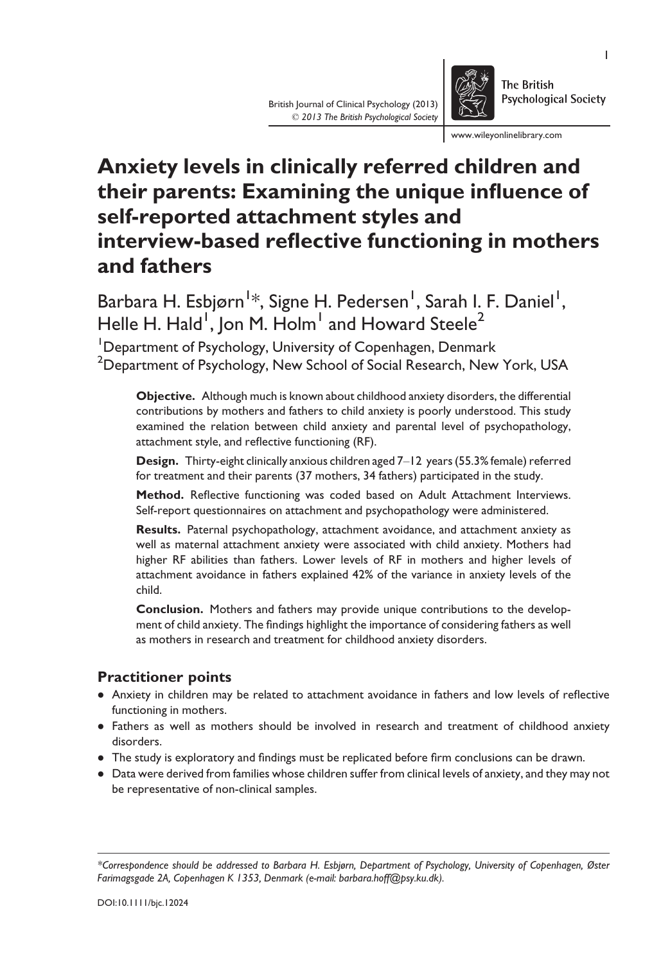www.wileyonlinelibrary.com

# Anxiety levels in clinically referred children and their parents: Examining the unique influence of self-reported attachment styles and interview-based reflective functioning in mothers and fathers

British Journal of Clinical Psychology (2013) © 2013 The British Psychological Society

Barbara H. Esbjørn<sup>1</sup>\*, Signe H. Pedersen<sup>1</sup>, Sarah I. F. Daniel<sup>1</sup>, Helle H. Hald<sup>1</sup>, Jon M. Holm $^{\rm l}$  and Howard Steele $^{\rm 2}$ 

<sup>1</sup>Department of Psychology, University of Copenhagen, Denmark  $^2$ Department of Psychology, New School of Social Research, New York, USA

Objective. Although much is known about childhood anxiety disorders, the differential contributions by mothers and fathers to child anxiety is poorly understood. This study examined the relation between child anxiety and parental level of psychopathology, attachment style, and reflective functioning (RF).

Design. Thirty-eight clinically anxious children aged 7-12 years (55.3% female) referred for treatment and their parents (37 mothers, 34 fathers) participated in the study.

Method. Reflective functioning was coded based on Adult Attachment Interviews. Self-report questionnaires on attachment and psychopathology were administered.

Results. Paternal psychopathology, attachment avoidance, and attachment anxiety as well as maternal attachment anxiety were associated with child anxiety. Mothers had higher RF abilities than fathers. Lower levels of RF in mothers and higher levels of attachment avoidance in fathers explained 42% of the variance in anxiety levels of the child.

Conclusion. Mothers and fathers may provide unique contributions to the development of child anxiety. The findings highlight the importance of considering fathers as well as mothers in research and treatment for childhood anxiety disorders.

# Practitioner points

- Anxiety in children may be related to attachment avoidance in fathers and low levels of reflective functioning in mothers.
- Fathers as well as mothers should be involved in research and treatment of childhood anxiety disorders.
- The study is exploratory and findings must be replicated before firm conclusions can be drawn.
- Data were derived from families whose children suffer from clinical levels of anxiety, and they may not be representative of non-clinical samples.

<sup>\*</sup>Correspondence should be addressed to Barbara H. Esbjørn, Department of Psychology, University of Copenhagen, Øster Farimagsgade 2A, Copenhagen K 1353, Denmark (e-mail: barbara.hoff@psy.ku.dk).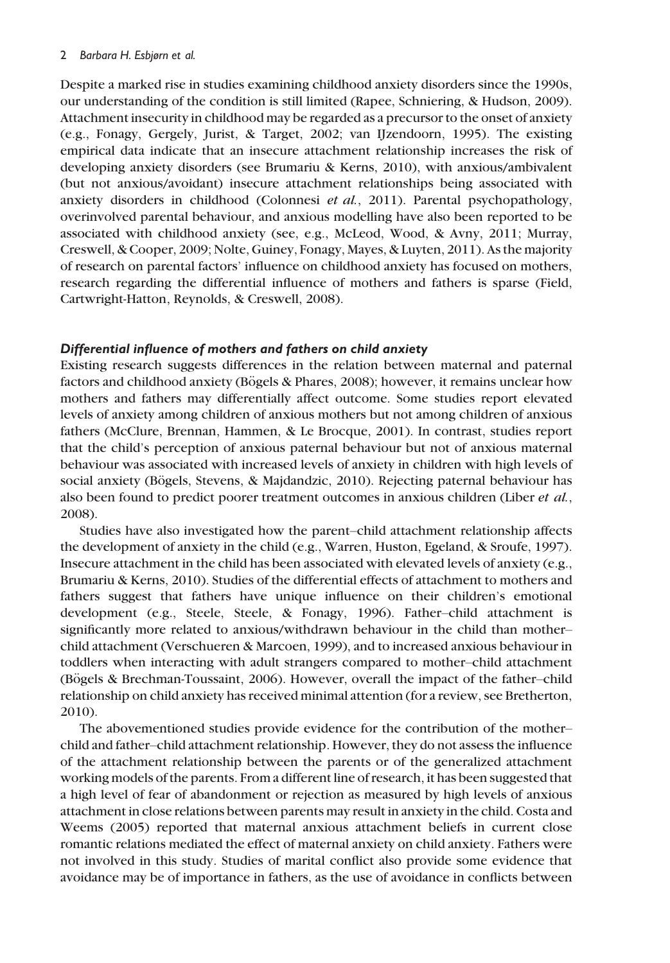### 2 Barbara H. Esbjørn et al.

Despite a marked rise in studies examining childhood anxiety disorders since the 1990s, our understanding of the condition is still limited (Rapee, Schniering, & Hudson, 2009). Attachment insecurity in childhood may be regarded as a precursor to the onset of anxiety (e.g., Fonagy, Gergely, Jurist, & Target, 2002; van IJzendoorn, 1995). The existing empirical data indicate that an insecure attachment relationship increases the risk of developing anxiety disorders (see Brumariu & Kerns, 2010), with anxious/ambivalent (but not anxious/avoidant) insecure attachment relationships being associated with anxiety disorders in childhood (Colonnesi et al., 2011). Parental psychopathology, overinvolved parental behaviour, and anxious modelling have also been reported to be associated with childhood anxiety (see, e.g., McLeod, Wood, & Avny, 2011; Murray, Creswell, & Cooper, 2009; Nolte, Guiney, Fonagy, Mayes, & Luyten, 2011). As the majority of research on parental factors' influence on childhood anxiety has focused on mothers, research regarding the differential influence of mothers and fathers is sparse (Field, Cartwright-Hatton, Reynolds, & Creswell, 2008).

## Differential influence of mothers and fathers on child anxiety

Existing research suggests differences in the relation between maternal and paternal factors and childhood anxiety (Bögels & Phares, 2008); however, it remains unclear how mothers and fathers may differentially affect outcome. Some studies report elevated levels of anxiety among children of anxious mothers but not among children of anxious fathers (McClure, Brennan, Hammen, & Le Brocque, 2001). In contrast, studies report that the child's perception of anxious paternal behaviour but not of anxious maternal behaviour was associated with increased levels of anxiety in children with high levels of social anxiety (Bögels, Stevens, & Majdandzic, 2010). Rejecting paternal behaviour has also been found to predict poorer treatment outcomes in anxious children (Liber et al., 2008).

Studies have also investigated how the parent–child attachment relationship affects the development of anxiety in the child (e.g., Warren, Huston, Egeland, & Sroufe, 1997). Insecure attachment in the child has been associated with elevated levels of anxiety (e.g., Brumariu & Kerns, 2010). Studies of the differential effects of attachment to mothers and fathers suggest that fathers have unique influence on their children's emotional development (e.g., Steele, Steele, & Fonagy, 1996). Father–child attachment is significantly more related to anxious/withdrawn behaviour in the child than mother– child attachment (Verschueren & Marcoen, 1999), and to increased anxious behaviour in toddlers when interacting with adult strangers compared to mother–child attachment (Bögels  $\&$  Brechman-Toussaint, 2006). However, overall the impact of the father-child relationship on child anxiety has received minimal attention (for a review, see Bretherton, 2010).

The abovementioned studies provide evidence for the contribution of the mother– child and father–child attachment relationship. However, they do not assess the influence of the attachment relationship between the parents or of the generalized attachment working models of the parents. From a different line of research, it has been suggested that a high level of fear of abandonment or rejection as measured by high levels of anxious attachment in close relations between parents may result in anxiety in the child. Costa and Weems (2005) reported that maternal anxious attachment beliefs in current close romantic relations mediated the effect of maternal anxiety on child anxiety. Fathers were not involved in this study. Studies of marital conflict also provide some evidence that avoidance may be of importance in fathers, as the use of avoidance in conflicts between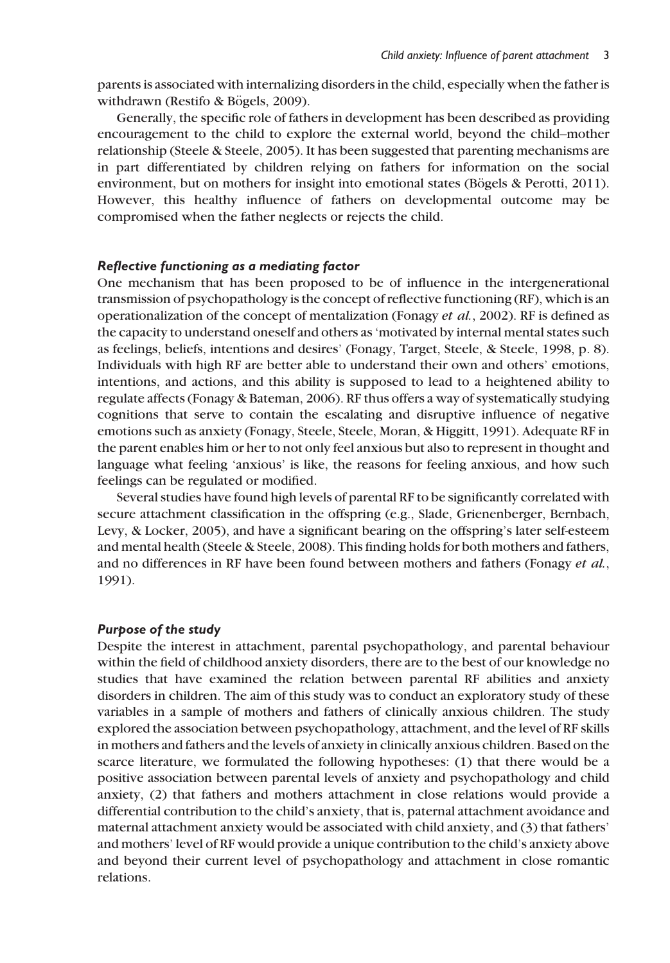parents is associated with internalizing disorders in the child, especially when the father is withdrawn (Restifo & Bögels, 2009).

Generally, the specific role of fathers in development has been described as providing encouragement to the child to explore the external world, beyond the child–mother relationship (Steele & Steele, 2005). It has been suggested that parenting mechanisms are in part differentiated by children relying on fathers for information on the social environment, but on mothers for insight into emotional states (Bögels & Perotti, 2011). However, this healthy influence of fathers on developmental outcome may be compromised when the father neglects or rejects the child.

### Reflective functioning as a mediating factor

One mechanism that has been proposed to be of influence in the intergenerational transmission of psychopathology is the concept of reflective functioning (RF), which is an operationalization of the concept of mentalization (Fonagy et al., 2002). RF is defined as the capacity to understand oneself and others as 'motivated by internal mental states such as feelings, beliefs, intentions and desires' (Fonagy, Target, Steele, & Steele, 1998, p. 8). Individuals with high RF are better able to understand their own and others' emotions, intentions, and actions, and this ability is supposed to lead to a heightened ability to regulate affects (Fonagy & Bateman, 2006). RF thus offers a way of systematically studying cognitions that serve to contain the escalating and disruptive influence of negative emotions such as anxiety (Fonagy, Steele, Steele, Moran, & Higgitt, 1991). Adequate RF in the parent enables him or her to not only feel anxious but also to represent in thought and language what feeling 'anxious' is like, the reasons for feeling anxious, and how such feelings can be regulated or modified.

Several studies have found high levels of parental RF to be significantly correlated with secure attachment classification in the offspring (e.g., Slade, Grienenberger, Bernbach, Levy, & Locker, 2005), and have a significant bearing on the offspring's later self-esteem and mental health (Steele & Steele, 2008). This finding holds for both mothers and fathers, and no differences in RF have been found between mothers and fathers (Fonagy et al., 1991).

## Purpose of the study

Despite the interest in attachment, parental psychopathology, and parental behaviour within the field of childhood anxiety disorders, there are to the best of our knowledge no studies that have examined the relation between parental RF abilities and anxiety disorders in children. The aim of this study was to conduct an exploratory study of these variables in a sample of mothers and fathers of clinically anxious children. The study explored the association between psychopathology, attachment, and the level of RF skills in mothers and fathers and the levels of anxiety in clinically anxious children. Based on the scarce literature, we formulated the following hypotheses: (1) that there would be a positive association between parental levels of anxiety and psychopathology and child anxiety, (2) that fathers and mothers attachment in close relations would provide a differential contribution to the child's anxiety, that is, paternal attachment avoidance and maternal attachment anxiety would be associated with child anxiety, and (3) that fathers' and mothers' level of RF would provide a unique contribution to the child's anxiety above and beyond their current level of psychopathology and attachment in close romantic relations.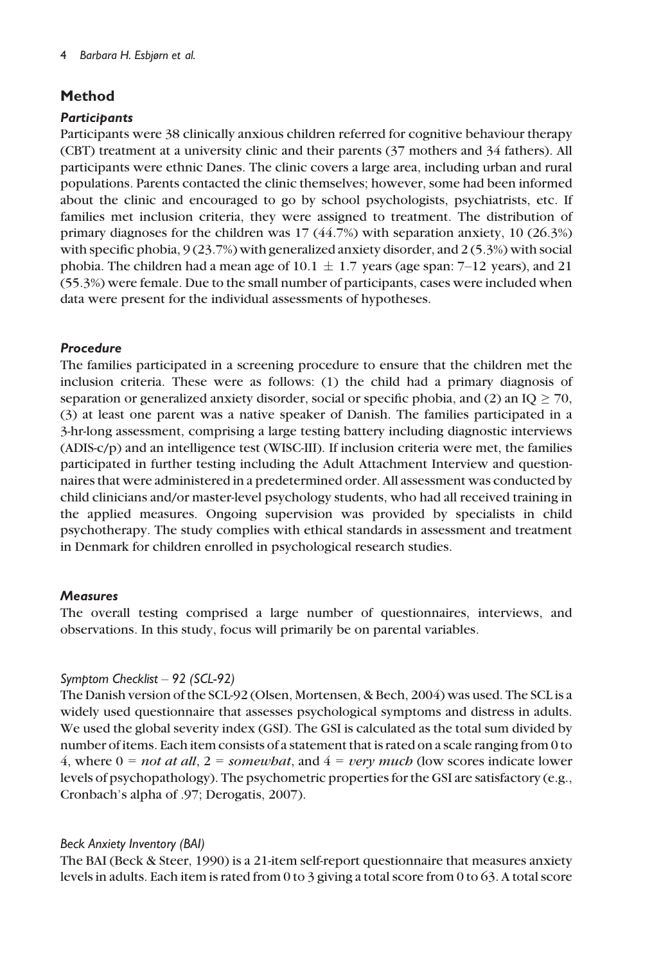# Method

# **Particibants**

Participants were 38 clinically anxious children referred for cognitive behaviour therapy (CBT) treatment at a university clinic and their parents (37 mothers and 34 fathers). All participants were ethnic Danes. The clinic covers a large area, including urban and rural populations. Parents contacted the clinic themselves; however, some had been informed about the clinic and encouraged to go by school psychologists, psychiatrists, etc. If families met inclusion criteria, they were assigned to treatment. The distribution of primary diagnoses for the children was 17 (44.7%) with separation anxiety, 10 (26.3%) with specific phobia, 9 (23.7%) with generalized anxiety disorder, and 2 (5.3%) with social phobia. The children had a mean age of  $10.1 \pm 1.7$  years (age span: 7–12 years), and 21 (55.3%) were female. Due to the small number of participants, cases were included when data were present for the individual assessments of hypotheses.

# Procedure

The families participated in a screening procedure to ensure that the children met the inclusion criteria. These were as follows: (1) the child had a primary diagnosis of separation or generalized anxiety disorder, social or specific phobia, and (2) an IQ  $\geq$  70, (3) at least one parent was a native speaker of Danish. The families participated in a 3-hr-long assessment, comprising a large testing battery including diagnostic interviews (ADIS-c/p) and an intelligence test (WISC-III). If inclusion criteria were met, the families participated in further testing including the Adult Attachment Interview and questionnaires that were administered in a predetermined order. All assessment was conducted by child clinicians and/or master-level psychology students, who had all received training in the applied measures. Ongoing supervision was provided by specialists in child psychotherapy. The study complies with ethical standards in assessment and treatment in Denmark for children enrolled in psychological research studies.

# **Measures**

The overall testing comprised a large number of questionnaires, interviews, and observations. In this study, focus will primarily be on parental variables.

# Symptom Checklist – 92 (SCL-92)

The Danish version of the SCL-92 (Olsen, Mortensen, & Bech, 2004) was used. The SCL is a widely used questionnaire that assesses psychological symptoms and distress in adults. We used the global severity index (GSI). The GSI is calculated as the total sum divided by number of items. Each item consists of a statement that is rated on a scale ranging from 0 to 4, where  $0 = not$  at all,  $2 = somewhat$ , and  $4 = very$  much (low scores indicate lower levels of psychopathology). The psychometric properties for the GSI are satisfactory (e.g., Cronbach's alpha of .97; Derogatis, 2007).

# Beck Anxiety Inventory (BAI)

The BAI (Beck & Steer, 1990) is a 21-item self-report questionnaire that measures anxiety levels in adults. Each item is rated from 0 to 3 giving a total score from 0 to 63. A total score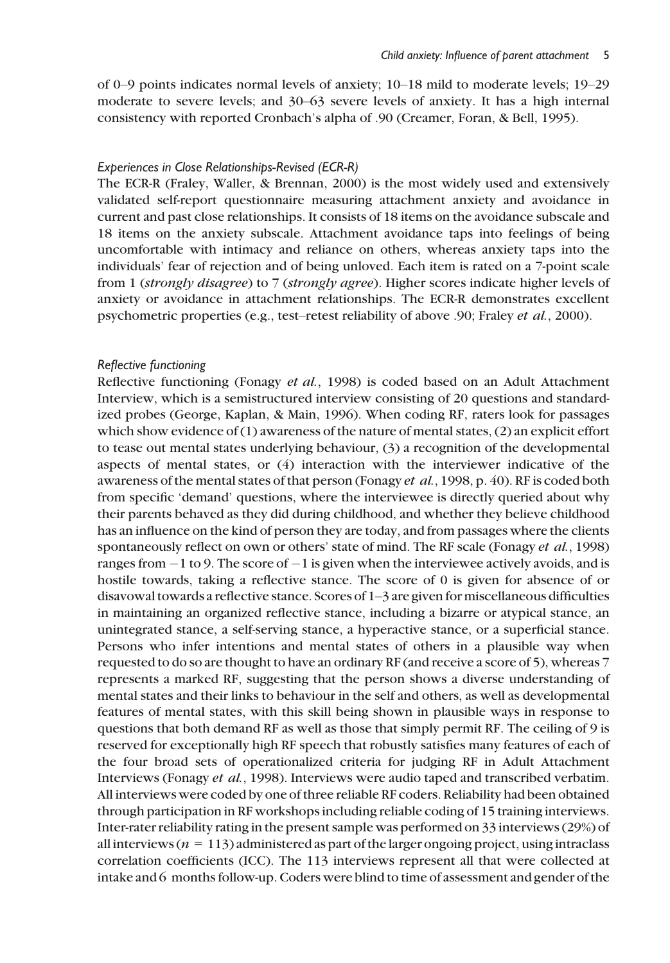of 0–9 points indicates normal levels of anxiety; 10–18 mild to moderate levels; 19–29 moderate to severe levels; and 30–63 severe levels of anxiety. It has a high internal consistency with reported Cronbach's alpha of .90 (Creamer, Foran, & Bell, 1995).

#### Experiences in Close Relationships-Revised (ECR-R)

The ECR-R (Fraley, Waller, & Brennan, 2000) is the most widely used and extensively validated self-report questionnaire measuring attachment anxiety and avoidance in current and past close relationships. It consists of 18 items on the avoidance subscale and 18 items on the anxiety subscale. Attachment avoidance taps into feelings of being uncomfortable with intimacy and reliance on others, whereas anxiety taps into the individuals' fear of rejection and of being unloved. Each item is rated on a 7-point scale from 1 (strongly disagree) to 7 (strongly agree). Higher scores indicate higher levels of anxiety or avoidance in attachment relationships. The ECR-R demonstrates excellent psychometric properties (e.g., test–retest reliability of above .90; Fraley et al., 2000).

#### Reflective functioning

Reflective functioning (Fonagy et al., 1998) is coded based on an Adult Attachment Interview, which is a semistructured interview consisting of 20 questions and standardized probes (George, Kaplan, & Main, 1996). When coding RF, raters look for passages which show evidence of (1) awareness of the nature of mental states, (2) an explicit effort to tease out mental states underlying behaviour, (3) a recognition of the developmental aspects of mental states, or (4) interaction with the interviewer indicative of the awareness of the mental states of that person (Fonagy *et al.*, 1998, p. 40). RF is coded both from specific 'demand' questions, where the interviewee is directly queried about why their parents behaved as they did during childhood, and whether they believe childhood has an influence on the kind of person they are today, and from passages where the clients spontaneously reflect on own or others' state of mind. The RF scale (Fonagy *et al.*, 1998) ranges from  $-1$  to 9. The score of  $-1$  is given when the interviewee actively avoids, and is hostile towards, taking a reflective stance. The score of 0 is given for absence of or disavowal towards a reflective stance. Scores of 1–3 are given for miscellaneous difficulties in maintaining an organized reflective stance, including a bizarre or atypical stance, an unintegrated stance, a self-serving stance, a hyperactive stance, or a superficial stance. Persons who infer intentions and mental states of others in a plausible way when requested to do so are thought to have an ordinary RF (and receive a score of 5), whereas 7 represents a marked RF, suggesting that the person shows a diverse understanding of mental states and their links to behaviour in the self and others, as well as developmental features of mental states, with this skill being shown in plausible ways in response to questions that both demand RF as well as those that simply permit RF. The ceiling of 9 is reserved for exceptionally high RF speech that robustly satisfies many features of each of the four broad sets of operationalized criteria for judging RF in Adult Attachment Interviews (Fonagy et al., 1998). Interviews were audio taped and transcribed verbatim. All interviews were coded by one of three reliable RF coders. Reliability had been obtained through participation in RF workshops including reliable coding of 15 training interviews. Inter-rater reliability rating in the present sample was performed on 33 interviews (29%) of all interviews ( $n = 113$ ) administered as part of the larger ongoing project, using intraclass correlation coefficients (ICC). The 113 interviews represent all that were collected at intake and 6 months follow-up. Coders were blind to time of assessment and gender of the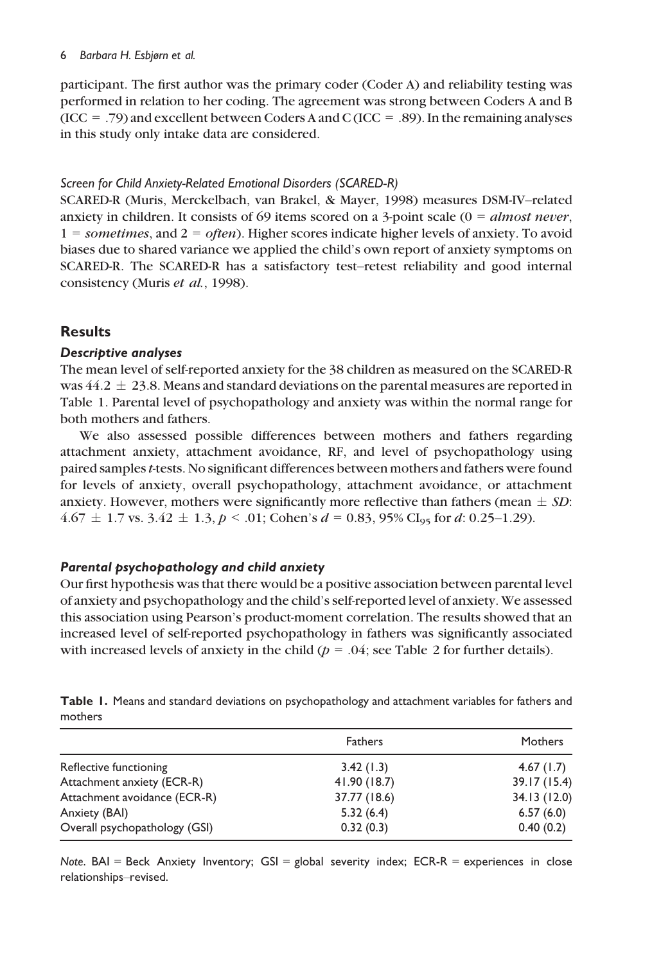#### 6 Barbara H. Esbjørn et al.

participant. The first author was the primary coder (Coder A) and reliability testing was performed in relation to her coding. The agreement was strong between Coders A and B (ICC = .79) and excellent between Coders A and C (ICC = .89). In the remaining analyses in this study only intake data are considered.

# Screen for Child Anxiety-Related Emotional Disorders (SCARED-R)

SCARED-R (Muris, Merckelbach, van Brakel, & Mayer, 1998) measures DSM-IV–related anxiety in children. It consists of 69 items scored on a 3-point scale  $(0 = almost never,$  $1 =$  sometimes, and  $2 =$  often). Higher scores indicate higher levels of anxiety. To avoid biases due to shared variance we applied the child's own report of anxiety symptoms on SCARED-R. The SCARED-R has a satisfactory test–retest reliability and good internal consistency (Muris et al., 1998).

# Results

# Descriptive analyses

The mean level of self-reported anxiety for the 38 children as measured on the SCARED-R was  $44.2 \pm 23.8$ . Means and standard deviations on the parental measures are reported in Table 1. Parental level of psychopathology and anxiety was within the normal range for both mothers and fathers.

We also assessed possible differences between mothers and fathers regarding attachment anxiety, attachment avoidance, RF, and level of psychopathology using paired samples t-tests. No significant differences between mothers and fathers were found for levels of anxiety, overall psychopathology, attachment avoidance, or attachment anxiety. However, mothers were significantly more reflective than fathers (mean  $\pm SD$ :  $4.67 \pm 1.7$  vs.  $3.42 \pm 1.3$ ,  $p < .01$ ; Cohen's  $d = 0.83$ , 95% CI<sub>95</sub> for d: 0.25–1.29).

# Parental psychopathology and child anxiety

Our first hypothesis was that there would be a positive association between parental level of anxiety and psychopathology and the child's self-reported level of anxiety. We assessed this association using Pearson's product-moment correlation. The results showed that an increased level of self-reported psychopathology in fathers was significantly associated with increased levels of anxiety in the child ( $p = .04$ ; see Table 2 for further details).

|                               | <b>Fathers</b> | Mothers      |  |
|-------------------------------|----------------|--------------|--|
| Reflective functioning        | 3.42(1.3)      | 4.67(1.7)    |  |
| Attachment anxiety (ECR-R)    | 41.90 (18.7)   | 39.17 (15.4) |  |
| Attachment avoidance (ECR-R)  | 37.77 (18.6)   | 34.13 (12.0) |  |
| Anxiety (BAI)                 | 5.32(6.4)      | 6.57(6.0)    |  |
| Overall psychopathology (GSI) | 0.32(0.3)      | 0.40(0.2)    |  |

Table 1. Means and standard deviations on psychopathology and attachment variables for fathers and mothers

Note. BAI = Beck Anxiety Inventory;  $GSI =$  global severity index; ECR-R = experiences in close relationships–revised.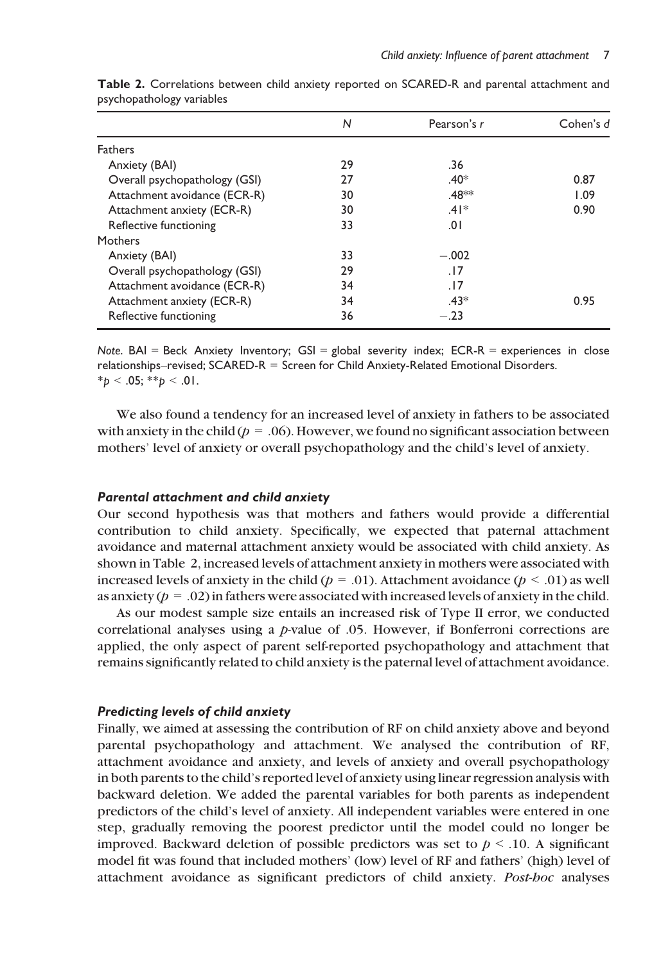|                               | N  | Pearson's r        | Cohen's $d$ |
|-------------------------------|----|--------------------|-------------|
| <b>Fathers</b>                |    |                    |             |
| Anxiety (BAI)                 | 29 | .36                |             |
| Overall psychopathology (GSI) | 27 | $.40*$             | 0.87        |
| Attachment avoidance (ECR-R)  | 30 | .48 <sup>*</sup> * | 1.09        |
| Attachment anxiety (ECR-R)    | 30 | $.41*$             | 0.90        |
| Reflective functioning        | 33 | 0١.                |             |
| Mothers                       |    |                    |             |
| Anxiety (BAI)                 | 33 | $-.002$            |             |
| Overall psychopathology (GSI) | 29 | .17                |             |
| Attachment avoidance (ECR-R)  | 34 | . 17               |             |
| Attachment anxiety (ECR-R)    | 34 | $.43*$             | 0.95        |
| Reflective functioning        | 36 | $-.23$             |             |

Table 2. Correlations between child anxiety reported on SCARED-R and parental attachment and psychopathology variables

Note. BAI = Beck Anxiety Inventory;  $GSI =$  global severity index;  $ECR-R =$  experiences in close relationships–revised; SCARED-R = Screen for Child Anxiety-Related Emotional Disorders.  $*_{p}$  < .05;  $*_{p}$  < .01.

We also found a tendency for an increased level of anxiety in fathers to be associated with anxiety in the child ( $p = .06$ ). However, we found no significant association between mothers' level of anxiety or overall psychopathology and the child's level of anxiety.

## Parental attachment and child anxiety

Our second hypothesis was that mothers and fathers would provide a differential contribution to child anxiety. Specifically, we expected that paternal attachment avoidance and maternal attachment anxiety would be associated with child anxiety. As shown in Table 2, increased levels of attachment anxiety in mothers were associated with increased levels of anxiety in the child ( $p = .01$ ). Attachment avoidance ( $p < .01$ ) as well as anxiety ( $p = .02$ ) in fathers were associated with increased levels of anxiety in the child.

As our modest sample size entails an increased risk of Type II error, we conducted correlational analyses using a p-value of .05. However, if Bonferroni corrections are applied, the only aspect of parent self-reported psychopathology and attachment that remains significantly related to child anxiety is the paternal level of attachment avoidance.

## Predicting levels of child anxiety

Finally, we aimed at assessing the contribution of RF on child anxiety above and beyond parental psychopathology and attachment. We analysed the contribution of RF, attachment avoidance and anxiety, and levels of anxiety and overall psychopathology in both parents to the child's reported level of anxiety using linear regression analysis with backward deletion. We added the parental variables for both parents as independent predictors of the child's level of anxiety. All independent variables were entered in one step, gradually removing the poorest predictor until the model could no longer be improved. Backward deletion of possible predictors was set to  $p < 0.10$ . A significant model fit was found that included mothers' (low) level of RF and fathers' (high) level of attachment avoidance as significant predictors of child anxiety. Post-hoc analyses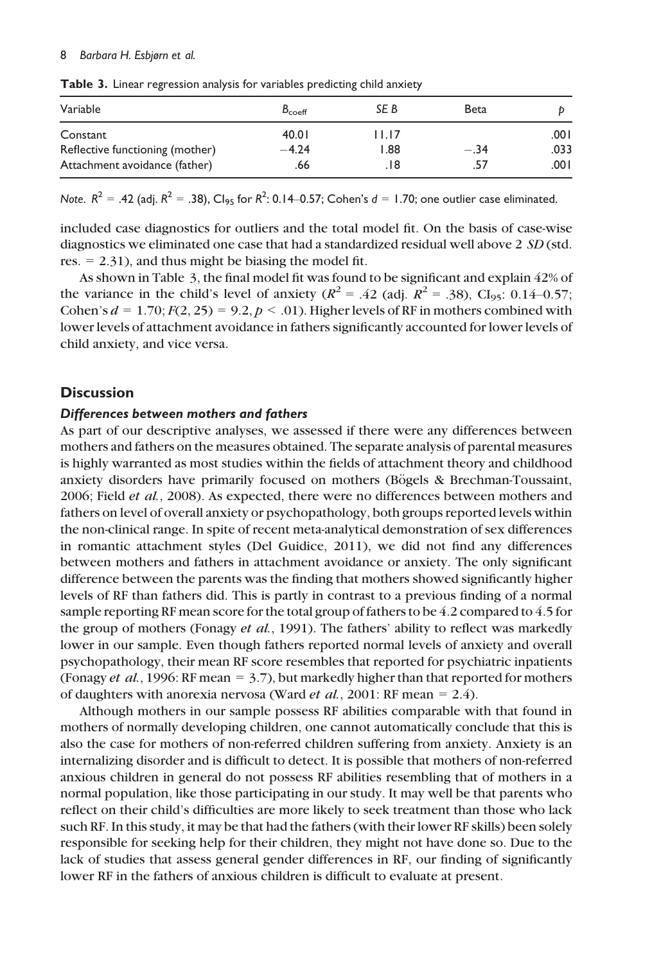#### 8 Barbara H. Esbjørn et al.

| $B_{\text{coeff}}$ | SE B    | Beta   |       |
|--------------------|---------|--------|-------|
| 40.01              | I I.I 7 |        | ا 00. |
| $-4.24$            | 1.88    | $-.34$ | .033  |
| .66                | . 18    | .57    | 00۱.  |
|                    |         |        |       |

Table 3. Linear regression analysis for variables predicting child anxiety

Note.  $R^2 = .42$  (adj.  $R^2 = .38$ ), Cl<sub>95</sub> for  $R^2$ : 0.14–0.57; Cohen's  $d = 1.70$ ; one outlier case eliminated.

included case diagnostics for outliers and the total model fit. On the basis of case-wise diagnostics we eliminated one case that had a standardized residual well above 2 SD (std. res.  $= 2.31$ , and thus might be biasing the model fit.

As shown in Table 3, the final model fit was found to be significant and explain 42% of the variance in the child's level of anxiety ( $R^2 = .42$  (adj.  $R^2 = .38$ ), Cl<sub>95</sub>: 0.14–0.57; Cohen's  $d = 1.70$ ;  $F(2, 25) = 9.2$ ,  $p < .01$ ). Higher levels of RF in mothers combined with lower levels of attachment avoidance in fathers significantly accounted for lower levels of child anxiety, and vice versa.

# **Discussion**

#### Differences between mothers and fathers

As part of our descriptive analyses, we assessed if there were any differences between mothers and fathers on the measures obtained. The separate analysis of parental measures is highly warranted as most studies within the fields of attachment theory and childhood anxiety disorders have primarily focused on mothers (Bögels & Brechman-Toussaint, 2006; Field et al., 2008). As expected, there were no differences between mothers and fathers on level of overall anxiety or psychopathology, both groups reported levels within the non-clinical range. In spite of recent meta-analytical demonstration of sex differences in romantic attachment styles (Del Guidice, 2011), we did not find any differences between mothers and fathers in attachment avoidance or anxiety. The only significant difference between the parents was the finding that mothers showed significantly higher levels of RF than fathers did. This is partly in contrast to a previous finding of a normal sample reporting RF mean score for the total group of fathers to be 4.2 compared to 4.5 for the group of mothers (Fonagy et al., 1991). The fathers' ability to reflect was markedly lower in our sample. Even though fathers reported normal levels of anxiety and overall psychopathology, their mean RF score resembles that reported for psychiatric inpatients (Fonagy *et al.*, 1996: RF mean  $= 3.7$ ), but markedly higher than that reported for mothers of daughters with anorexia nervosa (Ward *et al.*, 2001: RF mean = 2.4).

Although mothers in our sample possess RF abilities comparable with that found in mothers of normally developing children, one cannot automatically conclude that this is also the case for mothers of non-referred children suffering from anxiety. Anxiety is an internalizing disorder and is difficult to detect. It is possible that mothers of non-referred anxious children in general do not possess RF abilities resembling that of mothers in a normal population, like those participating in our study. It may well be that parents who reflect on their child's difficulties are more likely to seek treatment than those who lack such RF. In this study, it may be that had the fathers (with their lower RF skills) been solely responsible for seeking help for their children, they might not have done so. Due to the lack of studies that assess general gender differences in RF, our finding of significantly lower RF in the fathers of anxious children is difficult to evaluate at present.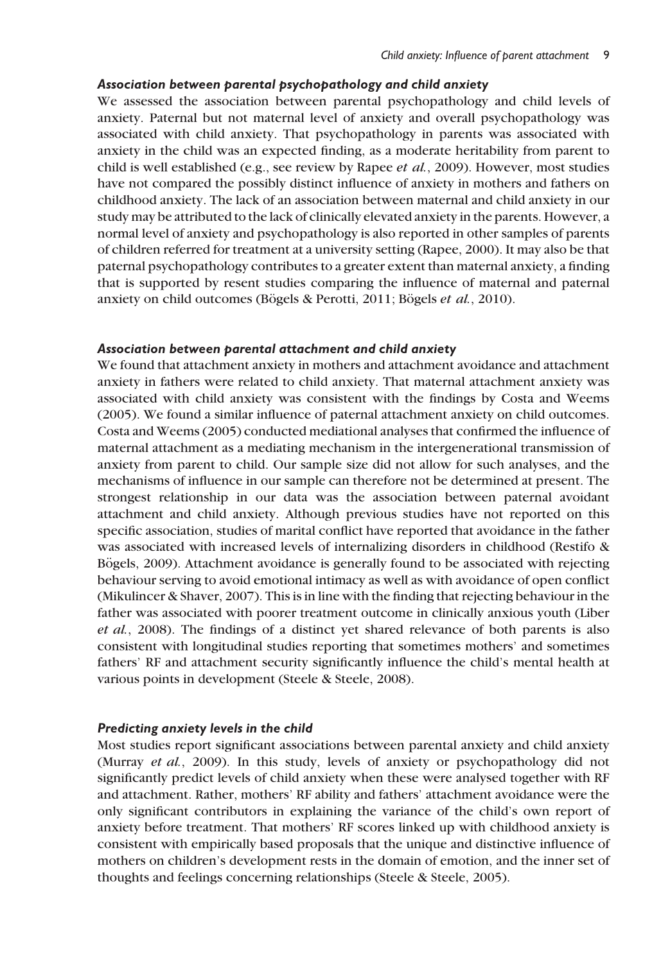# Association between parental psychopathology and child anxiety

We assessed the association between parental psychopathology and child levels of anxiety. Paternal but not maternal level of anxiety and overall psychopathology was associated with child anxiety. That psychopathology in parents was associated with anxiety in the child was an expected finding, as a moderate heritability from parent to child is well established (e.g., see review by Rapee et al., 2009). However, most studies have not compared the possibly distinct influence of anxiety in mothers and fathers on childhood anxiety. The lack of an association between maternal and child anxiety in our study may be attributed to the lack of clinically elevated anxiety in the parents. However, a normal level of anxiety and psychopathology is also reported in other samples of parents of children referred for treatment at a university setting (Rapee, 2000). It may also be that paternal psychopathology contributes to a greater extent than maternal anxiety, a finding that is supported by resent studies comparing the influence of maternal and paternal anxiety on child outcomes (Bögels & Perotti, 2011; Bögels et al., 2010).

### Association between parental attachment and child anxiety

We found that attachment anxiety in mothers and attachment avoidance and attachment anxiety in fathers were related to child anxiety. That maternal attachment anxiety was associated with child anxiety was consistent with the findings by Costa and Weems (2005). We found a similar influence of paternal attachment anxiety on child outcomes. Costa and Weems (2005) conducted mediational analyses that confirmed the influence of maternal attachment as a mediating mechanism in the intergenerational transmission of anxiety from parent to child. Our sample size did not allow for such analyses, and the mechanisms of influence in our sample can therefore not be determined at present. The strongest relationship in our data was the association between paternal avoidant attachment and child anxiety. Although previous studies have not reported on this specific association, studies of marital conflict have reported that avoidance in the father was associated with increased levels of internalizing disorders in childhood (Restifo & Bogels, 2009). Attachment avoidance is generally found to be associated with rejecting behaviour serving to avoid emotional intimacy as well as with avoidance of open conflict (Mikulincer & Shaver, 2007). This is in line with the finding that rejecting behaviour in the father was associated with poorer treatment outcome in clinically anxious youth (Liber et al., 2008). The findings of a distinct yet shared relevance of both parents is also consistent with longitudinal studies reporting that sometimes mothers' and sometimes fathers' RF and attachment security significantly influence the child's mental health at various points in development (Steele & Steele, 2008).

### Predicting anxiety levels in the child

Most studies report significant associations between parental anxiety and child anxiety (Murray et al., 2009). In this study, levels of anxiety or psychopathology did not significantly predict levels of child anxiety when these were analysed together with RF and attachment. Rather, mothers' RF ability and fathers' attachment avoidance were the only significant contributors in explaining the variance of the child's own report of anxiety before treatment. That mothers' RF scores linked up with childhood anxiety is consistent with empirically based proposals that the unique and distinctive influence of mothers on children's development rests in the domain of emotion, and the inner set of thoughts and feelings concerning relationships (Steele & Steele, 2005).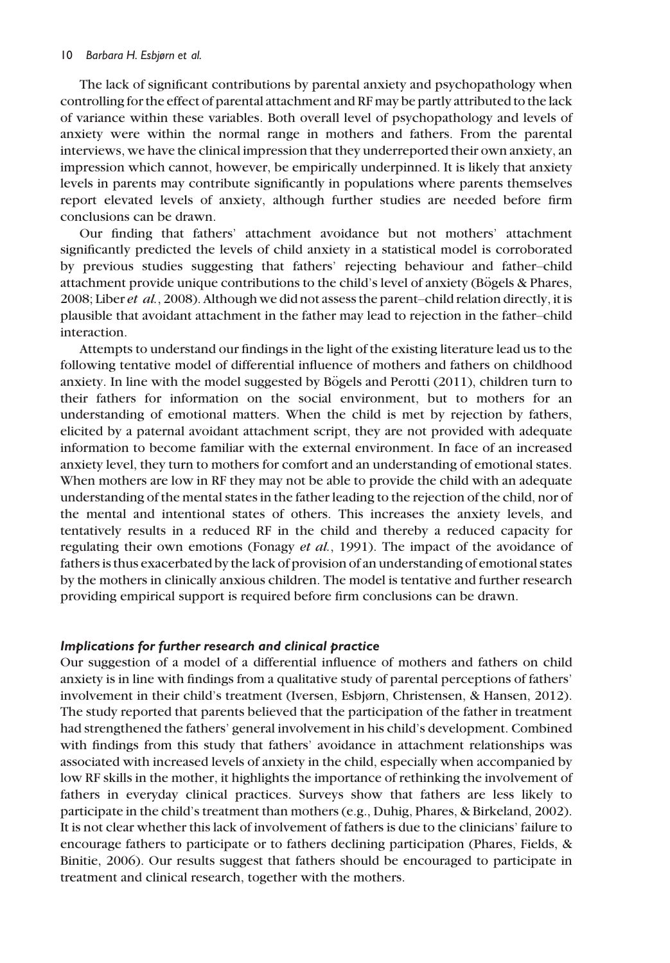The lack of significant contributions by parental anxiety and psychopathology when controlling for the effect of parental attachment and RF may be partly attributed to the lack of variance within these variables. Both overall level of psychopathology and levels of anxiety were within the normal range in mothers and fathers. From the parental interviews, we have the clinical impression that they underreported their own anxiety, an impression which cannot, however, be empirically underpinned. It is likely that anxiety levels in parents may contribute significantly in populations where parents themselves report elevated levels of anxiety, although further studies are needed before firm conclusions can be drawn.

Our finding that fathers' attachment avoidance but not mothers' attachment significantly predicted the levels of child anxiety in a statistical model is corroborated by previous studies suggesting that fathers' rejecting behaviour and father–child attachment provide unique contributions to the child's level of anxiety (Bögels & Phares, 2008; Liber et al., 2008). Although we did not assess the parent–child relation directly, it is plausible that avoidant attachment in the father may lead to rejection in the father–child interaction.

Attempts to understand our findings in the light of the existing literature lead us to the following tentative model of differential influence of mothers and fathers on childhood anxiety. In line with the model suggested by Bögels and Perotti  $(2011)$ , children turn to their fathers for information on the social environment, but to mothers for an understanding of emotional matters. When the child is met by rejection by fathers, elicited by a paternal avoidant attachment script, they are not provided with adequate information to become familiar with the external environment. In face of an increased anxiety level, they turn to mothers for comfort and an understanding of emotional states. When mothers are low in RF they may not be able to provide the child with an adequate understanding of the mental states in the father leading to the rejection of the child, nor of the mental and intentional states of others. This increases the anxiety levels, and tentatively results in a reduced RF in the child and thereby a reduced capacity for regulating their own emotions (Fonagy *et al.*, 1991). The impact of the avoidance of fathers is thus exacerbated by the lack of provision of an understanding of emotional states by the mothers in clinically anxious children. The model is tentative and further research providing empirical support is required before firm conclusions can be drawn.

## Implications for further research and clinical practice

Our suggestion of a model of a differential influence of mothers and fathers on child anxiety is in line with findings from a qualitative study of parental perceptions of fathers' involvement in their child's treatment (Iversen, Esbjørn, Christensen, & Hansen, 2012). The study reported that parents believed that the participation of the father in treatment had strengthened the fathers' general involvement in his child's development. Combined with findings from this study that fathers' avoidance in attachment relationships was associated with increased levels of anxiety in the child, especially when accompanied by low RF skills in the mother, it highlights the importance of rethinking the involvement of fathers in everyday clinical practices. Surveys show that fathers are less likely to participate in the child's treatment than mothers (e.g., Duhig, Phares, & Birkeland, 2002). It is not clear whether this lack of involvement of fathers is due to the clinicians' failure to encourage fathers to participate or to fathers declining participation (Phares, Fields, & Binitie, 2006). Our results suggest that fathers should be encouraged to participate in treatment and clinical research, together with the mothers.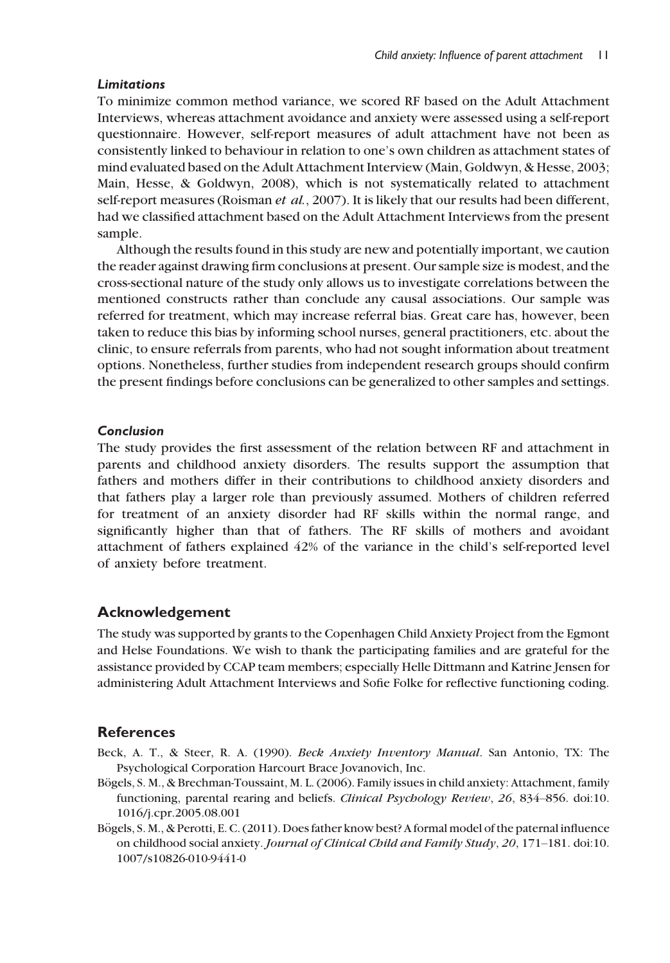## **Limitations**

To minimize common method variance, we scored RF based on the Adult Attachment Interviews, whereas attachment avoidance and anxiety were assessed using a self-report questionnaire. However, self-report measures of adult attachment have not been as consistently linked to behaviour in relation to one's own children as attachment states of mind evaluated based on the Adult Attachment Interview (Main, Goldwyn, & Hesse, 2003; Main, Hesse, & Goldwyn, 2008), which is not systematically related to attachment self-report measures (Roisman *et al.*, 2007). It is likely that our results had been different, had we classified attachment based on the Adult Attachment Interviews from the present sample.

Although the results found in this study are new and potentially important, we caution the reader against drawing firm conclusions at present. Our sample size is modest, and the cross-sectional nature of the study only allows us to investigate correlations between the mentioned constructs rather than conclude any causal associations. Our sample was referred for treatment, which may increase referral bias. Great care has, however, been taken to reduce this bias by informing school nurses, general practitioners, etc. about the clinic, to ensure referrals from parents, who had not sought information about treatment options. Nonetheless, further studies from independent research groups should confirm the present findings before conclusions can be generalized to other samples and settings.

# Conclusion

The study provides the first assessment of the relation between RF and attachment in parents and childhood anxiety disorders. The results support the assumption that fathers and mothers differ in their contributions to childhood anxiety disorders and that fathers play a larger role than previously assumed. Mothers of children referred for treatment of an anxiety disorder had RF skills within the normal range, and significantly higher than that of fathers. The RF skills of mothers and avoidant attachment of fathers explained 42% of the variance in the child's self-reported level of anxiety before treatment.

## Acknowledgement

The study was supported by grants to the Copenhagen Child Anxiety Project from the Egmont and Helse Foundations. We wish to thank the participating families and are grateful for the assistance provided by CCAP team members; especially Helle Dittmann and Katrine Jensen for administering Adult Attachment Interviews and Sofie Folke for reflective functioning coding.

## References

- Beck, A. T., & Steer, R. A. (1990). Beck Anxiety Inventory Manual. San Antonio, TX: The Psychological Corporation Harcourt Brace Jovanovich, Inc.
- Bögels, S. M., & Brechman-Toussaint, M. L. (2006). Family issues in child anxiety: Attachment, family functioning, parental rearing and beliefs. *Clinical Psychology Review*, 26, 834–856. doi:10. 1016/j.cpr.2005.08.001
- Bögels, S. M., & Perotti, E. C. (2011). Does father know best? A formal model of the paternal influence on childhood social anxiety. Journal of Clinical Child and Family Study, 20, 171–181. doi:10. 1007/s10826-010-9441-0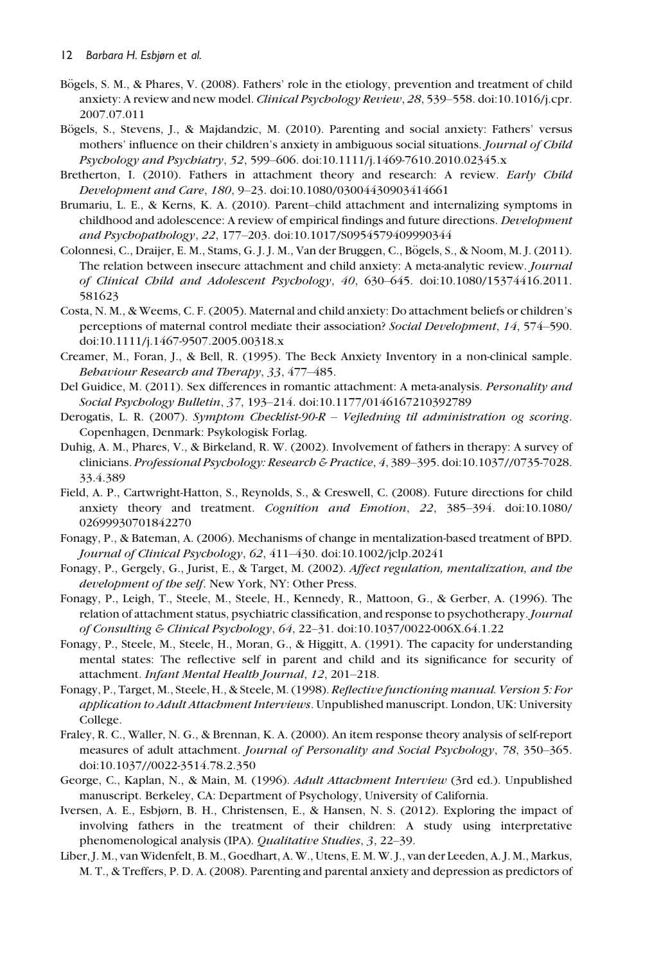- Bögels, S. M., & Phares, V. (2008). Fathers' role in the etiology, prevention and treatment of child anxiety: A review and new model. Clinical Psychology Review, 28, 539–558. doi:10.1016/j.cpr. 2007.07.011
- Bögels, S., Stevens, J., & Majdandzic, M. (2010). Parenting and social anxiety: Fathers' versus mothers' influence on their children's anxiety in ambiguous social situations. Journal of Child Psychology and Psychiatry, 52, 599–606. doi:10.1111/j.1469-7610.2010.02345.x
- Bretherton, I. (2010). Fathers in attachment theory and research: A review. Early Child Development and Care, 180, 9–23. doi:10.1080/03004430903414661
- Brumariu, L. E., & Kerns, K. A. (2010). Parent–child attachment and internalizing symptoms in childhood and adolescence: A review of empirical findings and future directions. Development and Psychopathology, 22, 177–203. doi:10.1017/S0954579409990344
- Colonnesi, C., Draijer, E. M., Stams, G. J. J. M., Van der Bruggen, C., Bögels, S., & Noom, M. J. (2011). The relation between insecure attachment and child anxiety: A meta-analytic review. Journal of Clinical Child and Adolescent Psychology, 40, 630–645. doi:10.1080/15374416.2011. 581623
- Costa, N. M., & Weems, C. F. (2005). Maternal and child anxiety: Do attachment beliefs or children's perceptions of maternal control mediate their association? Social Development, 14, 574–590. doi:10.1111/j.1467-9507.2005.00318.x
- Creamer, M., Foran, J., & Bell, R. (1995). The Beck Anxiety Inventory in a non-clinical sample. Behaviour Research and Therapy, 33, 477–485.
- Del Guidice, M. (2011). Sex differences in romantic attachment: A meta-analysis. Personality and Social Psychology Bulletin, 37, 193–214. doi:10.1177/0146167210392789
- Derogatis, L. R. (2007). Symptom Checklist-90-R Vejledning til administration og scoring. Copenhagen, Denmark: Psykologisk Forlag.
- Duhig, A. M., Phares, V., & Birkeland, R. W. (2002). Involvement of fathers in therapy: A survey of clinicians. Professional Psychology: Research & Practice, 4, 389–395. doi:10.1037//0735-7028. 33.4.389
- Field, A. P., Cartwright-Hatton, S., Reynolds, S., & Creswell, C. (2008). Future directions for child anxiety theory and treatment. Cognition and Emotion, 22, 385–394. doi:10.1080/ 02699930701842270
- Fonagy, P., & Bateman, A. (2006). Mechanisms of change in mentalization-based treatment of BPD. Journal of Clinical Psychology, 62, 411–430. doi:10.1002/jclp.20241
- Fonagy, P., Gergely, G., Jurist, E., & Target, M. (2002). Affect regulation, mentalization, and the development of the self. New York, NY: Other Press.
- Fonagy, P., Leigh, T., Steele, M., Steele, H., Kennedy, R., Mattoon, G., & Gerber, A. (1996). The relation of attachment status, psychiatric classification, and response to psychotherapy.Journal of Consulting & Clinical Psychology, 64, 22–31. doi:10.1037/0022-006X.64.1.22
- Fonagy, P., Steele, M., Steele, H., Moran, G., & Higgitt, A. (1991). The capacity for understanding mental states: The reflective self in parent and child and its significance for security of attachment. Infant Mental Health Journal, 12, 201–218.
- Fonagy, P., Target, M., Steele, H., & Steele, M. (1998). Reflective functioning manual. Version 5: For application to Adult Attachment Interviews. Unpublished manuscript. London, UK: University College.
- Fraley, R. C., Waller, N. G., & Brennan, K. A. (2000). An item response theory analysis of self-report measures of adult attachment. Journal of Personality and Social Psychology, 78, 350–365. doi:10.1037//0022-3514.78.2.350
- George, C., Kaplan, N., & Main, M. (1996). Adult Attachment Interview (3rd ed.). Unpublished manuscript. Berkeley, CA: Department of Psychology, University of California.
- Iversen, A. E., Esbjørn, B. H., Christensen, E., & Hansen, N. S. (2012). Exploring the impact of involving fathers in the treatment of their children: A study using interpretative phenomenological analysis (IPA). Qualitative Studies, 3, 22–39.
- Liber, J. M., van Widenfelt, B. M., Goedhart, A. W., Utens, E. M. W. J., van der Leeden, A. J. M., Markus, M. T., & Treffers, P. D. A. (2008). Parenting and parental anxiety and depression as predictors of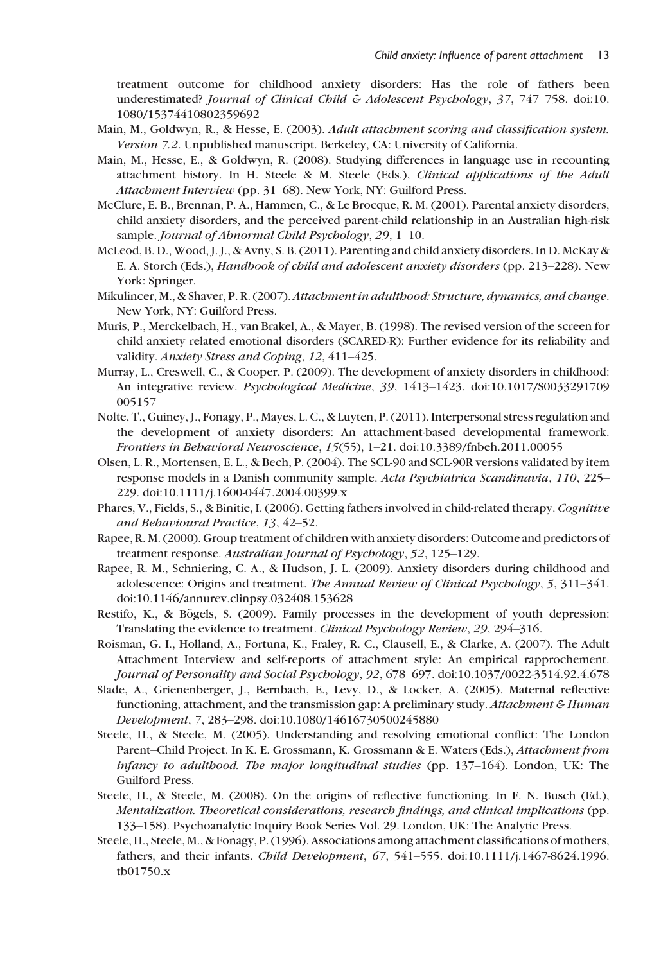treatment outcome for childhood anxiety disorders: Has the role of fathers been underestimated? Journal of Clinical Child & Adolescent Psychology,  $37$ ,  $747-758$ . doi:10. 1080/15374410802359692

- Main, M., Goldwyn, R., & Hesse, E. (2003). Adult attachment scoring and classification system. Version 7.2. Unpublished manuscript. Berkeley, CA: University of California.
- Main, M., Hesse, E., & Goldwyn, R. (2008). Studying differences in language use in recounting attachment history. In H. Steele & M. Steele (Eds.), Clinical applications of the Adult Attachment Interview (pp. 31–68). New York, NY: Guilford Press.
- McClure, E. B., Brennan, P. A., Hammen, C., & Le Brocque, R. M. (2001). Parental anxiety disorders, child anxiety disorders, and the perceived parent-child relationship in an Australian high-risk sample. Journal of Abnormal Child Psychology, 29, 1-10.
- McLeod, B. D., Wood, J. J., & Avny, S. B. (2011). Parenting and child anxiety disorders. In D. McKay & E. A. Storch (Eds.), Handbook of child and adolescent anxiety disorders (pp. 213–228). New York: Springer.
- Mikulincer, M., & Shaver, P. R. (2007).Attachment in adulthood: Structure, dynamics, and change. New York, NY: Guilford Press.
- Muris, P., Merckelbach, H., van Brakel, A., & Mayer, B. (1998). The revised version of the screen for child anxiety related emotional disorders (SCARED-R): Further evidence for its reliability and validity. Anxiety Stress and Coping, 12, 411–425.
- Murray, L., Creswell, C., & Cooper, P. (2009). The development of anxiety disorders in childhood: An integrative review. Psychological Medicine, 39, 1413–1423. doi:10.1017/S0033291709 005157
- Nolte, T., Guiney, J., Fonagy, P., Mayes, L. C., & Luyten, P. (2011). Interpersonal stress regulation and the development of anxiety disorders: An attachment-based developmental framework. Frontiers in Behavioral Neuroscience, 15(55), 1–21. doi:10.3389/fnbeh.2011.00055
- Olsen, L. R., Mortensen, E. L., & Bech, P. (2004). The SCL-90 and SCL-90R versions validated by item response models in a Danish community sample. Acta Psychiatrica Scandinavia, 110, 225– 229. doi:10.1111/j.1600-0447.2004.00399.x
- Phares, V., Fields, S., & Binitie, I. (2006). Getting fathers involved in child-related therapy. Cognitive and Behavioural Practice, 13, 42–52.
- Rapee, R. M. (2000). Group treatment of children with anxiety disorders: Outcome and predictors of treatment response. Australian Journal of Psychology, 52, 125–129.
- Rapee, R. M., Schniering, C. A., & Hudson, J. L. (2009). Anxiety disorders during childhood and adolescence: Origins and treatment. The Annual Review of Clinical Psychology, 5, 311–341. doi:10.1146/annurev.clinpsy.032408.153628
- Restifo, K., & Bögels, S. (2009). Family processes in the development of youth depression: Translating the evidence to treatment. Clinical Psychology Review, 29, 294-316.
- Roisman, G. I., Holland, A., Fortuna, K., Fraley, R. C., Clausell, E., & Clarke, A. (2007). The Adult Attachment Interview and self-reports of attachment style: An empirical rapprochement. Journal of Personality and Social Psychology, 92, 678–697. doi:10.1037/0022-3514.92.4.678
- Slade, A., Grienenberger, J., Bernbach, E., Levy, D., & Locker, A. (2005). Maternal reflective functioning, attachment, and the transmission gap: A preliminary study. Attachment & Human Development, 7, 283–298. doi:10.1080/14616730500245880
- Steele, H., & Steele, M. (2005). Understanding and resolving emotional conflict: The London Parent–Child Project. In K. E. Grossmann, K. Grossmann & E. Waters (Eds.), Attachment from infancy to adulthood. The major longitudinal studies (pp. 137–164). London, UK: The Guilford Press.
- Steele, H., & Steele, M. (2008). On the origins of reflective functioning. In F. N. Busch (Ed.), Mentalization. Theoretical considerations, research findings, and clinical implications (pp. 133–158). Psychoanalytic Inquiry Book Series Vol. 29. London, UK: The Analytic Press.
- Steele, H., Steele, M., & Fonagy, P. (1996). Associations among attachment classifications of mothers, fathers, and their infants. Child Development, 67, 541–555. doi:10.1111/j.1467-8624.1996. tb01750.x